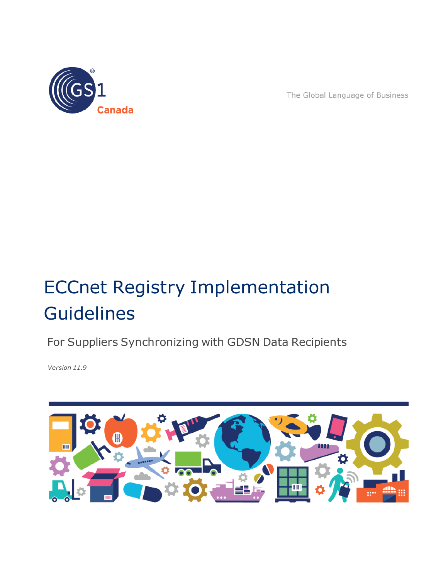

The Global Language of Business

# ECCnet Registry Implementation **Guidelines**

For Suppliers Synchronizing with GDSN Data Recipients

*Version 11.9*

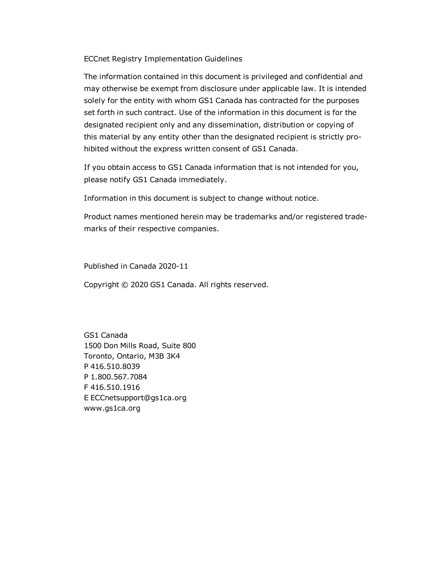ECCnet Registry Implementation Guidelines

The information contained in this document is privileged and confidential and may otherwise be exempt from disclosure under applicable law. It is intended solely for the entity with whom GS1 Canada has contracted for the purposes set forth in such contract. Use of the information in this document is for the designated recipient only and any dissemination, distribution or copying of this material by any entity other than the designated recipient is strictly prohibited without the express written consent of GS1 Canada.

If you obtain access to GS1 Canada information that is not intended for you, please notify GS1 Canada immediately.

Information in this document is subject to change without notice.

Product names mentioned herein may be trademarks and/or registered trademarks of their respective companies.

Published in Canada 2020-11

Copyright © 2020 GS1 Canada. All rights reserved.

GS1 Canada 1500 Don Mills Road, Suite 800 Toronto, Ontario, M3B 3K4 P 416.510.8039 P 1.800.567.7084 F 416.510.1916 E ECCnetsupport@gs1ca.org www.gs1ca.org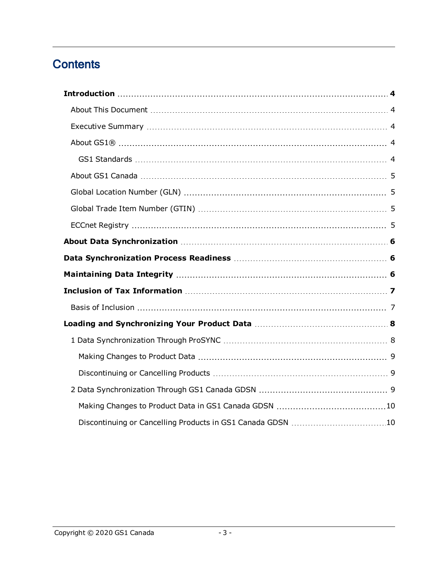# **Contents**

| Discontinuing or Cancelling Products in GS1 Canada GDSN 10 |  |
|------------------------------------------------------------|--|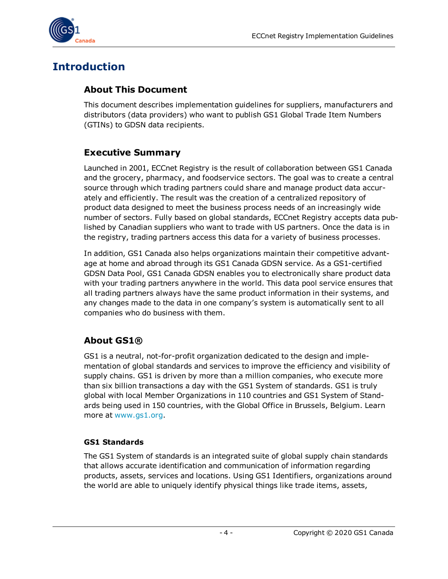

# <span id="page-3-0"></span>**Introduction**

#### <span id="page-3-1"></span>**About This Document**

This document describes implementation guidelines for suppliers, manufacturers and distributors (data providers) who want to publish GS1 Global Trade Item Numbers (GTINs) to GDSN data recipients.

## <span id="page-3-2"></span>**Executive Summary**

Launched in 2001, ECCnet Registry is the result of collaboration between GS1 Canada and the grocery, pharmacy, and foodservice sectors. The goal was to create a central source through which trading partners could share and manage product data accurately and efficiently. The result was the creation of a centralized repository of product data designed to meet the business process needs of an increasingly wide number of sectors. Fully based on global standards, ECCnet Registry accepts data published by Canadian suppliers who want to trade with US partners. Once the data is in the registry, trading partners access this data for a variety of business processes.

In addition, GS1 Canada also helps organizations maintain their competitive advantage at home and abroad through its GS1 Canada GDSN service. As a GS1-certified GDSN Data Pool, GS1 Canada GDSN enables you to electronically share product data with your trading partners anywhere in the world. This data pool service ensures that all trading partners always have the same product information in their systems, and any changes made to the data in one company's system is automatically sent to all companies who do business with them.

## <span id="page-3-3"></span>**About GS1®**

GS1 is a neutral, not-for-profit organization dedicated to the design and implementation of global standards and services to improve the efficiency and visibility of supply chains. GS1 is driven by more than a million companies, who execute more than six billion transactions a day with the GS1 System of standards. GS1 is truly global with local Member Organizations in 110 countries and GS1 System of Standards being used in 150 countries, with the Global Office in Brussels, Belgium. Learn more at [www.gs1.org.](http://www.gs1.org/)

#### <span id="page-3-4"></span>**GS1 Standards**

The GS1 System of standards is an integrated suite of global supply chain standards that allows accurate identification and communication of information regarding products, assets, services and locations. Using GS1 Identifiers, organizations around the world are able to uniquely identify physical things like trade items, assets,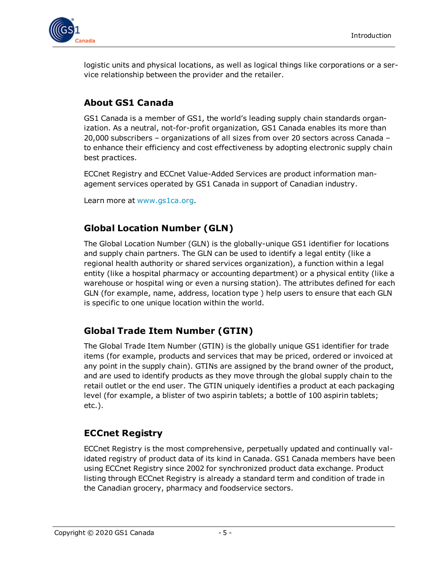

logistic units and physical locations, as well as logical things like corporations or a service relationship between the provider and the retailer.

## <span id="page-4-0"></span>**About GS1 Canada**

GS1 Canada is a member of GS1, the world's leading supply chain standards organization. As a neutral, not-for-profit organization, GS1 Canada enables its more than 20,000 subscribers – organizations of all sizes from over 20 sectors across Canada – to enhance their efficiency and cost effectiveness by adopting electronic supply chain best practices.

ECCnet Registry and ECCnet Value-Added Services are product information management services operated by GS1 Canada in support of Canadian industry.

Learn more at [www.gs1ca.org.](http://www.gs1ca.org/)

## <span id="page-4-1"></span>**Global Location Number (GLN)**

The Global Location Number (GLN) is the globally-unique GS1 identifier for locations and supply chain partners. The GLN can be used to identify a legal entity (like a regional health authority or shared services organization), a function within a legal entity (like a hospital pharmacy or accounting department) or a physical entity (like a warehouse or hospital wing or even a nursing station). The attributes defined for each GLN (for example, name, address, location type ) help users to ensure that each GLN is specific to one unique location within the world.

## <span id="page-4-2"></span>**Global Trade Item Number (GTIN)**

The Global Trade Item Number (GTIN) is the globally unique GS1 identifier for trade items (for example, products and services that may be priced, ordered or invoiced at any point in the supply chain). GTINs are assigned by the brand owner of the product, and are used to identify products as they move through the global supply chain to the retail outlet or the end user. The GTIN uniquely identifies a product at each packaging level (for example, a blister of two aspirin tablets; a bottle of 100 aspirin tablets; etc.).

# <span id="page-4-3"></span>**ECCnet Registry**

ECCnet Registry is the most comprehensive, perpetually updated and continually validated registry of product data of its kind in Canada. GS1 Canada members have been using ECCnet Registry since 2002 for synchronized product data exchange. Product listing through ECCnet Registry is already a standard term and condition of trade in the Canadian grocery, pharmacy and foodservice sectors.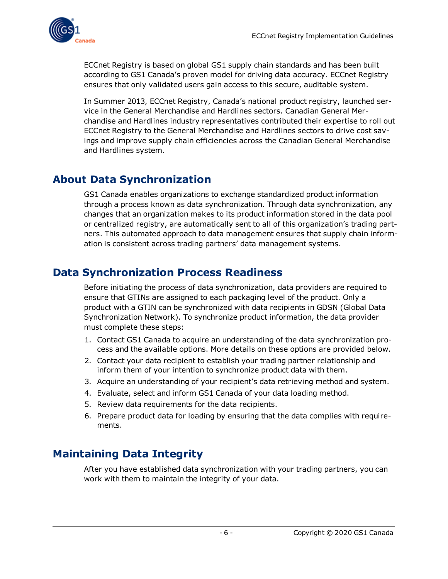

ECCnet Registry is based on global GS1 supply chain standards and has been built according to GS1 Canada's proven model for driving data accuracy. ECCnet Registry ensures that only validated users gain access to this secure, auditable system.

In Summer 2013, ECCnet Registry, Canada's national product registry, launched service in the General Merchandise and Hardlines sectors. Canadian General Merchandise and Hardlines industry representatives contributed their expertise to roll out ECCnet Registry to the General Merchandise and Hardlines sectors to drive cost savings and improve supply chain efficiencies across the Canadian General Merchandise and Hardlines system.

# <span id="page-5-0"></span>**About Data Synchronization**

GS1 Canada enables organizations to exchange standardized product information through a process known as data synchronization. Through data synchronization, any changes that an organization makes to its product information stored in the data pool or centralized registry, are automatically sent to all of this organization's trading partners. This automated approach to data management ensures that supply chain information is consistent across trading partners' data management systems.

# <span id="page-5-1"></span>**Data Synchronization Process Readiness**

Before initiating the process of data synchronization, data providers are required to ensure that GTINs are assigned to each packaging level of the product. Only a product with a GTIN can be synchronized with data recipients in GDSN (Global Data Synchronization Network). To synchronize product information, the data provider must complete these steps:

- 1. Contact GS1 Canada to acquire an understanding of the data synchronization process and the available options. More details on these options are provided below.
- 2. Contact your data recipient to establish your trading partner relationship and inform them of your intention to synchronize product data with them.
- 3. Acquire an understanding of your recipient's data retrieving method and system.
- 4. Evaluate, select and inform GS1 Canada of your data loading method.
- 5. Review data requirements for the data recipients.
- 6. Prepare product data for loading by ensuring that the data complies with requirements.

# <span id="page-5-2"></span>**Maintaining Data Integrity**

After you have established data synchronization with your trading partners, you can work with them to maintain the integrity of your data.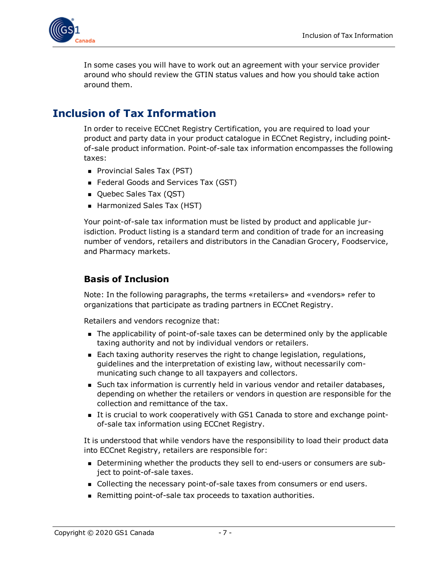

In some cases you will have to work out an agreement with your service provider around who should review the GTIN status values and how you should take action around them.

# <span id="page-6-0"></span>**Inclusion of Tax Information**

In order to receive ECCnet Registry Certification, you are required to load your product and party data in your product catalogue in ECCnet Registry, including pointof-sale product information. Point-of-sale tax information encompasses the following taxes:

- Provincial Sales Tax (PST)
- Federal Goods and Services Tax (GST)
- Quebec Sales Tax (QST)
- Harmonized Sales Tax (HST)

Your point-of-sale tax information must be listed by product and applicable jurisdiction. Product listing is a standard term and condition of trade for an increasing number of vendors, retailers and distributors in the Canadian Grocery, Foodservice, and Pharmacy markets.

#### <span id="page-6-1"></span>**Basis of Inclusion**

Note: In the following paragraphs, the terms «retailers» and «vendors» refer to organizations that participate as trading partners in ECCnet Registry.

Retailers and vendors recognize that:

- n The applicability of point-of-sale taxes can be determined only by the applicable taxing authority and not by individual vendors or retailers.
- **Each taxing authority reserves the right to change legislation, regulations,** guidelines and the interpretation of existing law, without necessarily communicating such change to all taxpayers and collectors.
- **n** Such tax information is currently held in various vendor and retailer databases, depending on whether the retailers or vendors in question are responsible for the collection and remittance of the tax.
- <sup>n</sup> It is crucial to work cooperatively with GS1 Canada to store and exchange pointof-sale tax information using ECCnet Registry.

It is understood that while vendors have the responsibility to load their product data into ECCnet Registry, retailers are responsible for:

- <sup>n</sup> Determining whether the products they sell to end-users or consumers are subject to point-of-sale taxes.
- <sup>n</sup> Collecting the necessary point-of-sale taxes from consumers or end users.
- **Remitting point-of-sale tax proceeds to taxation authorities.**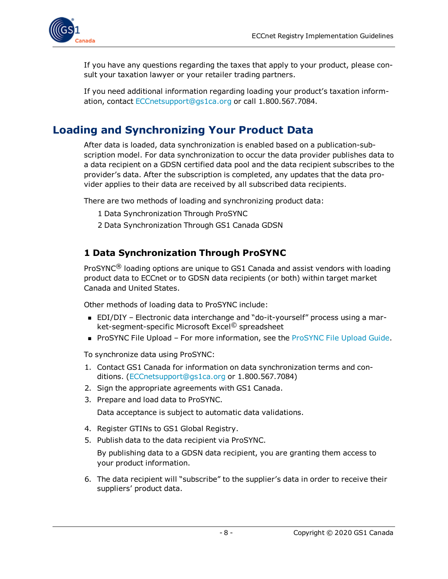

If you have any questions regarding the taxes that apply to your product, please consult your taxation lawyer or your retailer trading partners.

If you need additional information regarding loading your product's taxation information, contact [ECCnetsupport@gs1ca.org](mailto:ECCnetsupport@gs1ca.org) or call 1.800.567.7084.

# <span id="page-7-0"></span>**Loading and Synchronizing Your Product Data**

After data is loaded, data synchronization is enabled based on a publication-subscription model. For data synchronization to occur the data provider publishes data to a data recipient on a GDSN certified data pool and the data recipient subscribes to the provider's data. After the subscription is completed, any updates that the data provider applies to their data are received by all subscribed data recipients.

There are two methods of loading and synchronizing product data:

- 1 Data Synchronization Through ProSYNC
- 2 Data Synchronization Through GS1 Canada GDSN

## <span id="page-7-1"></span>**1 Data Synchronization Through ProSYNC**

ProSYNC<sup>®</sup> loading options are unique to GS1 Canada and assist vendors with loading product data to ECCnet or to GDSN data recipients (or both) within target market Canada and United States.

Other methods of loading data to ProSYNC include:

- EDI/DIY Electronic data interchange and "do-it-yourself" process using a market-segment-specific Microsoft Excel© spreadsheet
- **[ProSYNC](http://www.gs1ca.org/files/FileUploadGuidePS_en.pdf) File Upload For more information, see the ProSYNC File Upload Guide.**

To synchronize data using ProSYNC:

- 1. Contact GS1 Canada for information on data synchronization terms and conditions. [\(ECCnetsupport@gs1ca.org](mailto:ECCnetsupport@gs1ca.org) or 1.800.567.7084)
- 2. Sign the appropriate agreements with GS1 Canada.
- 3. Prepare and load data to ProSYNC.

Data acceptance is subject to automatic data validations.

- 4. Register GTINs to GS1 Global Registry.
- 5. Publish data to the data recipient via ProSYNC.

By publishing data to a GDSN data recipient, you are granting them access to your product information.

6. The data recipient will "subscribe" to the supplier's data in order to receive their suppliers' product data.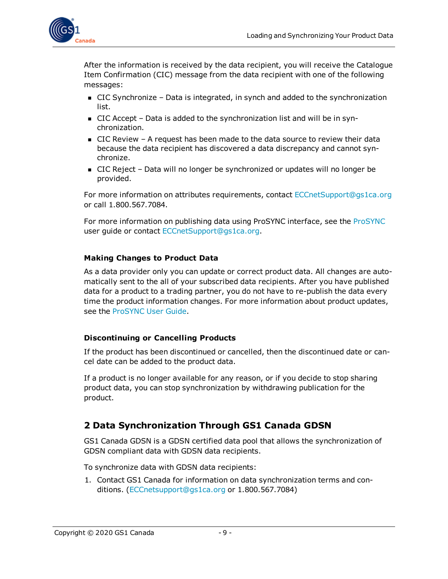

After the information is received by the data recipient, you will receive the Catalogue Item Confirmation (CIC) message from the data recipient with one of the following messages:

- $\blacksquare$  CIC Synchronize Data is integrated, in synch and added to the synchronization list.
- <sup>n</sup> CIC Accept Data is added to the synchronization list and will be in synchronization.
- $\blacksquare$  CIC Review A request has been made to the data source to review their data because the data recipient has discovered a data discrepancy and cannot synchronize.
- CIC Reject Data will no longer be synchronized or updates will no longer be provided.

For more information on attributes requirements, contact [ECCnetSupport@gs1ca.org](mailto:ECCnetSupport@gs1ca.org) or call 1.800.567.7084.

For more information on publishing data using ProSYNC interface, see the [ProSYNC](http://www.gs1ca.org/e/ProSYNCUserGuide) user guide or contact [ECCnetSupport@gs1ca.org.](mailto:ECCnetSupport@gs1ca.org)

#### <span id="page-8-0"></span>**Making Changes to Product Data**

As a data provider only you can update or correct product data. All changes are automatically sent to the all of your subscribed data recipients. After you have published data for a product to a trading partner, you do not have to re-publish the data every time the product information changes. For more information about product updates, see the [ProSYNC](http://www.gs1ca.org/files/pdr_ECCnetProSYNCUserGuide.pdf) User Guide.

#### <span id="page-8-1"></span>**Discontinuing or Cancelling Products**

If the product has been discontinued or cancelled, then the discontinued date or cancel date can be added to the product data.

If a product is no longer available for any reason, or if you decide to stop sharing product data, you can stop synchronization by withdrawing publication for the product.

## <span id="page-8-2"></span>**2 Data Synchronization Through GS1 Canada GDSN**

GS1 Canada GDSN is a GDSN certified data pool that allows the synchronization of GDSN compliant data with GDSN data recipients.

To synchronize data with GDSN data recipients:

1. Contact GS1 Canada for information on data synchronization terms and conditions. [\(ECCnetsupport@gs1ca.org](mailto:ECCnetsupport@gs1ca.org) or 1.800.567.7084)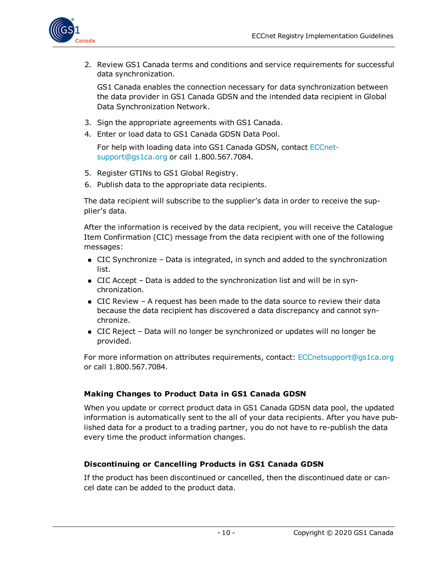

2. Review GS1 Canada terms and conditions and service requirements for successful data synchronization.

GS1 Canada enables the connection necessary for data synchronization between the data provider in GS1 Canada GDSN and the intended data recipient in Global Data Synchronization Network.

- 3. Sign the appropriate agreements with GS1 Canada.
- 4. Enter or load data to GS1 Canada GDSN Data Pool.

For help with loading data into GS1 Canada GDSN, contact [ECCnet](mailto:ECCnetsupport@gs1ca.org)[support@gs1ca.org](mailto:ECCnetsupport@gs1ca.org) or call 1.800.567.7084.

- 5. Register GTINs to GS1 Global Registry.
- 6. Publish data to the appropriate data recipients.

The data recipient will subscribe to the supplier's data in order to receive the supplier's data.

After the information is received by the data recipient, you will receive the Catalogue Item Confirmation (CIC) message from the data recipient with one of the following messages:

- $\blacksquare$  CIC Synchronize Data is integrated, in synch and added to the synchronization list.
- CIC Accept Data is added to the synchronization list and will be in synchronization.
- $\blacksquare$  CIC Review A request has been made to the data source to review their data because the data recipient has discovered a data discrepancy and cannot synchronize.
- CIC Reject Data will no longer be synchronized or updates will no longer be provided.

For more information on attributes requirements, contact: [ECCnetsupport@gs1ca.org](mailto:ECCnetsupport@gs1ca.org) or call 1.800.567.7084.

#### <span id="page-9-0"></span>**Making Changes to Product Data in GS1 Canada GDSN**

When you update or correct product data in GS1 Canada GDSN data pool, the updated information is automatically sent to the all of your data recipients. After you have published data for a product to a trading partner, you do not have to re-publish the data every time the product information changes.

#### <span id="page-9-1"></span>**Discontinuing or Cancelling Products in GS1 Canada GDSN**

If the product has been discontinued or cancelled, then the discontinued date or cancel date can be added to the product data.